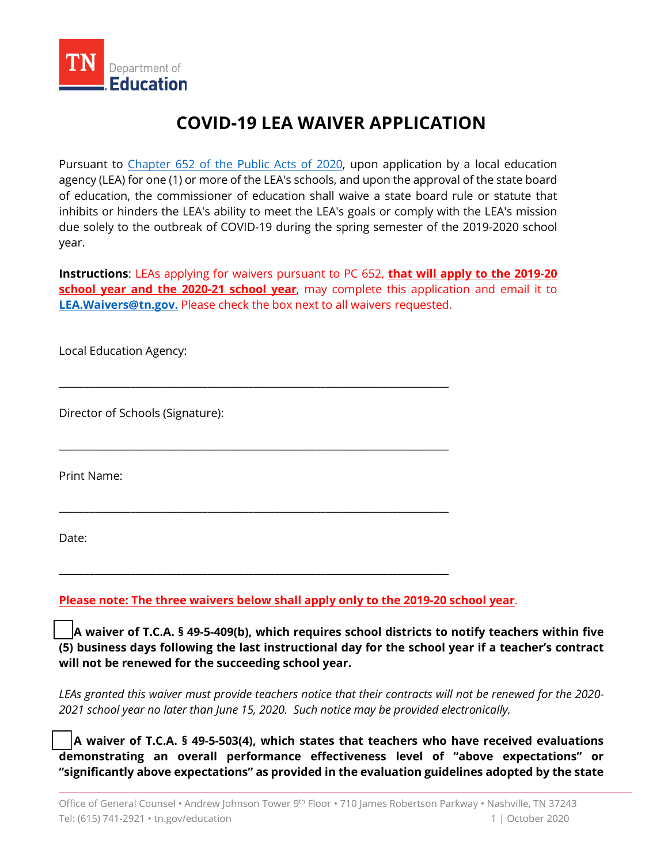

## **COVID-19 LEA WAIVER APPLICATION**

Pursuant to <u>Chapter 652 of the Public Acts of 2020</u>, upon application by a local education agency (LEA) for one (1) or more of the LEA's schools, and upon the approval of the state board of education, the commissioner of education shall waive a state board rule or statute that inhibits or hinders the LEA's ability to meet the LEA's goals or comply with the LEA's mission due solely to the outbreak of COVID-19 during the spring semester of the 2019-2020 school year.

 **Instructions**: LEAs applying for waivers pursuant to PC 652, **that will apply to the 2019-20 [LEA.Waivers@tn.gov.](mailto:LEA.Waivers@tn.gov)** Please check the box next to all waivers requested. **school year and the 2020-21 school year**, may complete this application and email it to

\_\_\_\_\_\_\_\_\_\_\_\_\_\_\_\_\_\_\_\_\_\_\_\_\_\_\_\_\_\_\_\_\_\_\_\_\_\_\_\_\_\_\_\_\_\_\_\_\_\_\_\_\_\_\_\_\_\_\_\_\_\_\_\_\_\_\_\_\_\_\_\_\_\_\_\_

\_\_\_\_\_\_\_\_\_\_\_\_\_\_\_\_\_\_\_\_\_\_\_\_\_\_\_\_\_\_\_\_\_\_\_\_\_\_\_\_\_\_\_\_\_\_\_\_\_\_\_\_\_\_\_\_\_\_\_\_\_\_\_\_\_\_\_\_\_\_\_\_\_\_\_\_

\_\_\_\_\_\_\_\_\_\_\_\_\_\_\_\_\_\_\_\_\_\_\_\_\_\_\_\_\_\_\_\_\_\_\_\_\_\_\_\_\_\_\_\_\_\_\_\_\_\_\_\_\_\_\_\_\_\_\_\_\_\_\_\_\_\_\_\_\_\_\_\_\_\_\_\_

\_\_\_\_\_\_\_\_\_\_\_\_\_\_\_\_\_\_\_\_\_\_\_\_\_\_\_\_\_\_\_\_\_\_\_\_\_\_\_\_\_\_\_\_\_\_\_\_\_\_\_\_\_\_\_\_\_\_\_\_\_\_\_\_\_\_\_\_\_\_\_\_\_\_\_\_

Local Education Agency:

Director of Schools (Signature):

Print Name:

Date:

 **Please note: The three waivers below shall apply only to the 2019-20 school year**.

 **will not be renewed for the succeeding school year. A waiver of T.C.A. § 49-5-409(b), which requires school districts to notify teachers within five (5) business days following the last instructional day for the school year if a teacher's contract** 

 *LEAs granted this waiver must provide teachers notice that their contracts will not be renewed for the 2020- 2021 school year no later than June 15, 2020. Such notice may be provided electronically.* 

 **demonstrating an overall performance effectiveness level of "above expectations" or "significantly above expectations" as provided in the evaluation guidelines adopted by the state A waiver of T.C.A. § 49-5-503(4), which states that teachers who have received evaluations**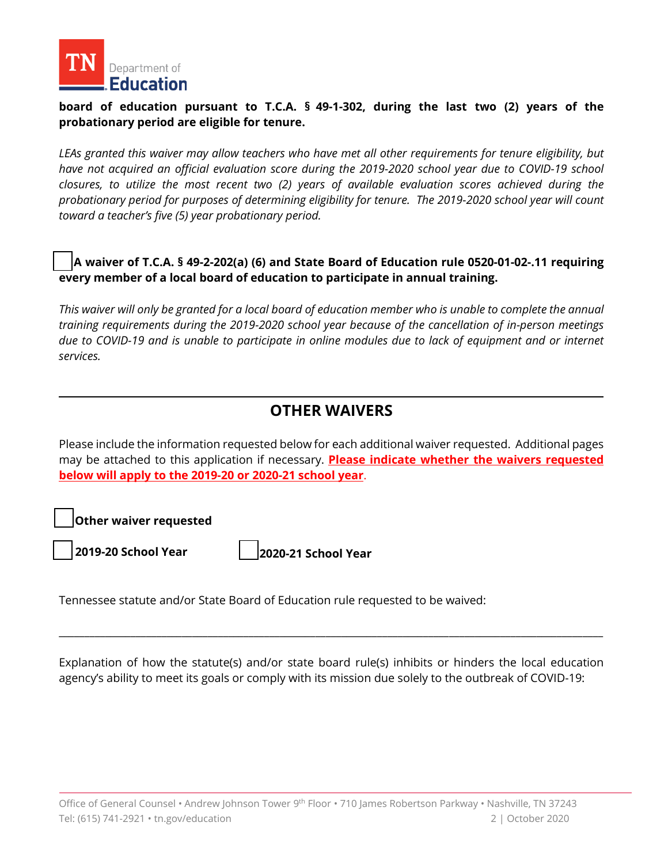

# **1 IN** Department of<br> **Education**<br> **board of education pursuant to T.C.A. § 49-1-302, during the last two (2) years of the probationary period are eligible for tenure.**

 *LEAs granted this waiver may allow teachers who have met all other requirements for tenure eligibility, but have not acquired an official evaluation score during the 2019-2020 school year due to COVID-19 school closures, to utilize the most recent two (2) years of available evaluation scores achieved during the toward a teacher's five (5) year probationary period. probationary period for purposes of determining eligibility for tenure. The 2019-2020 school year will count* 

## **every member of a local board of education to participate in annual training. A waiver of T.C.A. § 49-2-202(a) (6) and State Board of Education rule 0520-01-02-.11 requiring**

 *This waiver will only be granted for a local board of education member who is unable to complete the annual due to COVID-19 and is unable to participate in online modules due to lack of equipment and or internet training requirements during the 2019-2020 school year because of the cancellation of in-person meetings services.* 

## **OTHER WAIVERS**

 Please include the information requested below for each additional waiver requested. Additional pages  **below will apply to the 2019-20 or 2020-21 school year**. may be attached to this application if necessary. **Please indicate whether the waivers requested** 

 **Other waiver requested** 

**2019-20 School Year 2020-21 School Year** 

Tennessee statute and/or State Board of Education rule requested to be waived:

 Explanation of how the statute(s) and/or state board rule(s) inhibits or hinders the local education agency's ability to meet its goals or comply with its mission due solely to the outbreak of COVID-19:

\_\_\_\_\_\_\_\_\_\_\_\_\_\_\_\_\_\_\_\_\_\_\_\_\_\_\_\_\_\_\_\_\_\_\_\_\_\_\_\_\_\_\_\_\_\_\_\_\_\_\_\_\_\_\_\_\_\_\_\_\_\_\_\_\_\_\_\_\_\_\_\_\_\_\_\_\_\_\_\_\_\_\_\_\_\_\_\_\_\_\_\_\_\_\_\_\_\_\_\_\_\_\_\_\_\_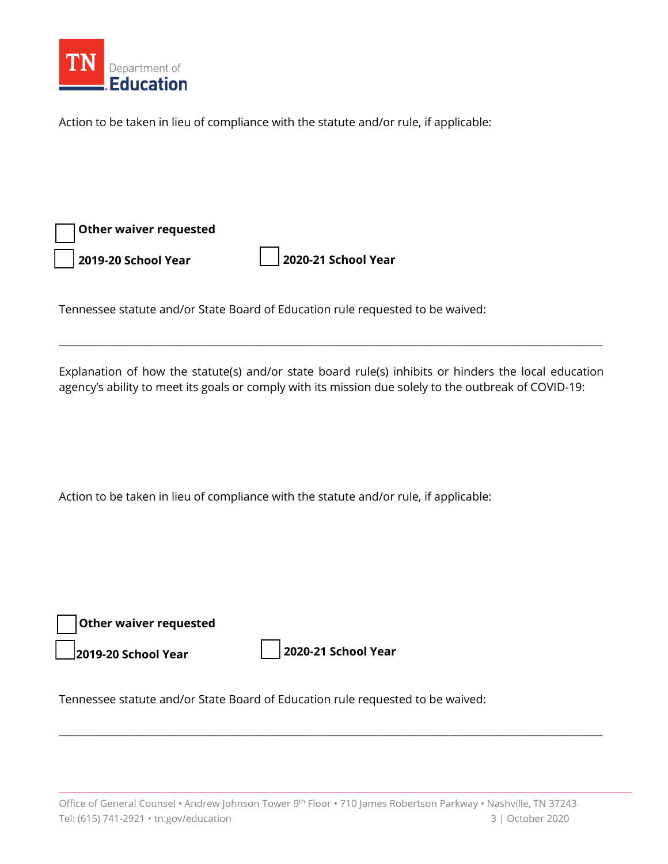

Action to be taken in lieu of compliance with the statute and/or rule, if applicable:

| $\boxed{\phantom{1}}$ Other waiver requested |                             |
|----------------------------------------------|-----------------------------|
| 2019-20 School Year                          | $\vert$ 2020-21 School Year |

Tennessee statute and/or State Board of Education rule requested to be waived:

 Explanation of how the statute(s) and/or state board rule(s) inhibits or hinders the local education agency's ability to meet its goals or comply with its mission due solely to the outbreak of COVID-19:

\_\_\_\_\_\_\_\_\_\_\_\_\_\_\_\_\_\_\_\_\_\_\_\_\_\_\_\_\_\_\_\_\_\_\_\_\_\_\_\_\_\_\_\_\_\_\_\_\_\_\_\_\_\_\_\_\_\_\_\_\_\_\_\_\_\_\_\_\_\_\_\_\_\_\_\_\_\_\_\_\_\_\_\_\_\_\_\_\_\_\_\_\_\_\_\_\_\_\_\_\_\_\_\_\_\_

Action to be taken in lieu of compliance with the statute and/or rule, if applicable:

| $\vert$ $\vert$ Other waiver requested |                             |
|----------------------------------------|-----------------------------|
| $\vert$ 2019-20 School Year            | $\vert$ 2020-21 School Year |

Tennessee statute and/or State Board of Education rule requested to be waived:

\_\_\_\_\_\_\_\_\_\_\_\_\_\_\_\_\_\_\_\_\_\_\_\_\_\_\_\_\_\_\_\_\_\_\_\_\_\_\_\_\_\_\_\_\_\_\_\_\_\_\_\_\_\_\_\_\_\_\_\_\_\_\_\_\_\_\_\_\_\_\_\_\_\_\_\_\_\_\_\_\_\_\_\_\_\_\_\_\_\_\_\_\_\_\_\_\_\_\_\_\_\_\_\_\_\_